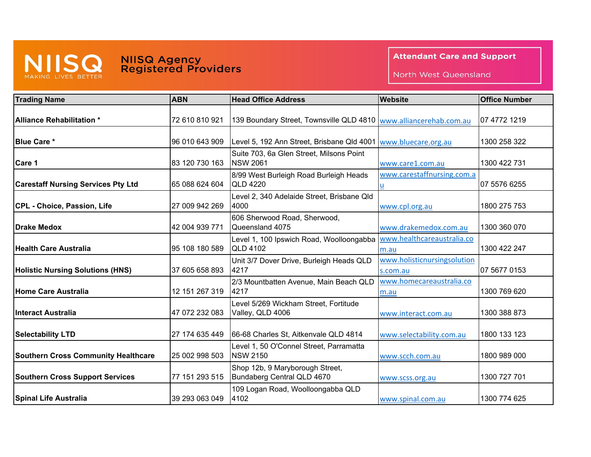

## **NIISQ Agency<br>Registered Providers**

## **Attendant Care and Support**

North West Queensland

| <b>Trading Name</b>                        | <b>ABN</b>     | <b>Head Office Address</b>                                        | <b>Website</b>              | <b>Office Number</b> |
|--------------------------------------------|----------------|-------------------------------------------------------------------|-----------------------------|----------------------|
|                                            |                |                                                                   |                             |                      |
| Alliance Rehabilitation *                  | 72 610 810 921 | 139 Boundary Street, Townsville QLD 4810 www.alliancerehab.com.au |                             | 07 4772 1219         |
|                                            |                |                                                                   |                             |                      |
| <b>Blue Care *</b>                         | 96 010 643 909 | Level 5, 192 Ann Street, Brisbane Qld 4001                        | www.bluecare.org.au         | 1300 258 322         |
| Care 1                                     | 83 120 730 163 | Suite 703, 6a Glen Street, Milsons Point<br><b>NSW 2061</b>       | www.care1.com.au            | 1300 422 731         |
|                                            |                | 8/99 West Burleigh Road Burleigh Heads                            | www.carestaffnursing.com.a  |                      |
| <b>Carestaff Nursing Services Pty Ltd</b>  | 65 088 624 604 | <b>QLD 4220</b>                                                   | u                           | 07 5576 6255         |
|                                            |                | Level 2, 340 Adelaide Street, Brisbane Qld                        |                             |                      |
| CPL - Choice, Passion, Life                | 27 009 942 269 | 4000                                                              | www.cpl.org.au              | 1800 275 753         |
|                                            |                | 606 Sherwood Road, Sherwood,                                      |                             |                      |
| Drake Medox                                | 42 004 939 771 | Queensland 4075                                                   | www.drakemedox.com.au       | 1300 360 070         |
|                                            |                | Level 1, 100 Ipswich Road, Woolloongabba                          | www.healthcareaustralia.co  |                      |
| <b>Health Care Australia</b>               | 95 108 180 589 | <b>QLD 4102</b>                                                   | m.au                        | 1300 422 247         |
|                                            |                | Unit 3/7 Dover Drive, Burleigh Heads QLD                          | www.holisticnursingsolution |                      |
| <b>Holistic Nursing Solutions (HNS)</b>    | 37 605 658 893 | 4217                                                              | s.com.au                    | 07 5677 0153         |
|                                            |                | 2/3 Mountbatten Avenue, Main Beach QLD                            | www.homecareaustralia.co    |                      |
| <b>Home Care Australia</b>                 | 12 151 267 319 | 4217                                                              | m.au                        | 1300 769 620         |
|                                            |                | Level 5/269 Wickham Street, Fortitude                             |                             |                      |
| IInteract Australia                        | 47 072 232 083 | Valley, QLD 4006                                                  | www.interact.com.au         | 1300 388 873         |
| <b>Selectability LTD</b>                   | 27 174 635 449 | 66-68 Charles St, Aitkenvale QLD 4814                             | www.selectability.com.au    | 1800 133 123         |
|                                            |                | Level 1, 50 O'Connel Street, Parramatta                           |                             |                      |
| <b>Southern Cross Community Healthcare</b> | 25 002 998 503 | <b>NSW 2150</b>                                                   | www.scch.com.au             | 1800 989 000         |
|                                            |                | Shop 12b, 9 Maryborough Street,                                   |                             |                      |
| <b>Southern Cross Support Services</b>     | 77 151 293 515 | Bundaberg Central QLD 4670                                        | www.scss.org.au             | 1300 727 701         |
|                                            |                | 109 Logan Road, Woolloongabba QLD                                 |                             |                      |
| <b>Spinal Life Australia</b>               | 39 293 063 049 | 4102                                                              | www.spinal.com.au           | 1300 774 625         |